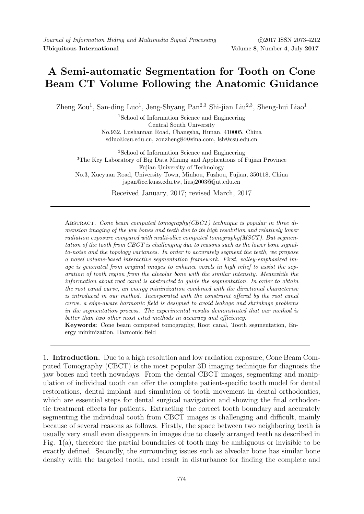## A Semi-automatic Segmentation for Tooth on Cone Beam CT Volume Following the Anatomic Guidance

Zheng Zou<sup>1</sup>, San-ding Luo<sup>1</sup>, Jeng-Shyang Pan<sup>2,3</sup> Shi-jian Liu<sup>2,3</sup>, Sheng-hui Liao<sup>1</sup>

<sup>1</sup>School of Information Science and Engineering Central South University No.932, Lushannan Road, Changsha, Hunan, 410005, China sdluo@csu.edu.cn, zouzheng84@sina.com, lsh@csu.edu.cn

<sup>2</sup>School of Information Science and Engineering <sup>3</sup>The Key Laboratory of Big Data Mining and Applications of Fujian Province Fujian University of Technology No.3, Xueyuan Road, University Town, Minhou, Fuzhou, Fujian, 350118, China jspan@cc.kuas.edu.tw, liusj2003@fjut.edu.cn

Received January, 2017; revised March, 2017

Abstract. Cone beam computed tomography(CBCT) technique is popular in three dimension imaging of the jaw bones and teeth due to its high resolution and relatively lower radiation exposure compared with multi-slice computed tomography $(MSCT)$ . But segmentation of the tooth from CBCT is challenging due to reasons such as the lower bone signalto-noise and the topology variances. In order to accurately segment the teeth, we propose a novel volume-based interactive segmentation framework. First, valley-emphasized image is generated from original images to enhance voxels in high relief to assist the separation of tooth region from the alveolar bone with the similar intensity. Meanwhile the information about root canal is abstracted to guide the segmentation. In order to obtain the root canal curve, an energy minimization combined with the directional characterise is introduced in our method. Incorporated with the constraint offered by the root canal curve, a edge-aware harmonic field is designed to avoid leakage and shrinkage problems in the segmentation process. The experimental results demonstrated that our method is better than two other most cited methods in accuracy and efficiency.

Keywords: Cone beam computed tomography, Root canal, Tooth segmentation, Energy minimization, Harmonic field

1. Introduction. Due to a high resolution and low radiation exposure, Cone Beam Computed Tomography (CBCT) is the most popular 3D imaging technique for diagnosis the jaw bones and teeth nowadays. From the dental CBCT images, segmenting and manipulation of individual tooth can offer the complete patient-specific tooth model for dental restorations, dental implant and simulation of tooth movement in dental orthodontics, which are essential steps for dental surgical navigation and showing the final orthodontic treatment effects for patients. Extracting the correct tooth boundary and accurately segmenting the individual tooth from CBCT images is challenging and difficult, mainly because of several reasons as follows. Firstly, the space between two neighboring teeth is usually very small even disappears in images due to closely arranged teeth as described in Fig. 1(a), therefore the partial boundaries of tooth may be ambiguous or invisible to be exactly defined. Secondly, the surrounding issues such as alveolar bone has similar bone density with the targeted tooth, and result in disturbance for finding the complete and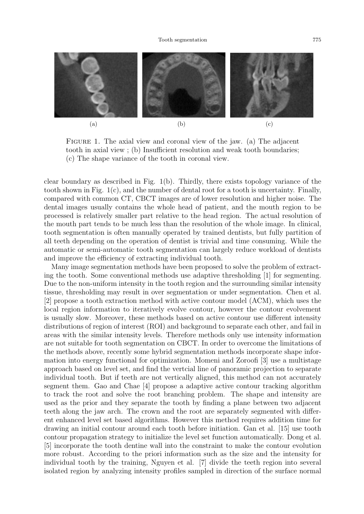

FIGURE 1. The axial view and coronal view of the jaw. (a) The adjacent tooth in axial view ; (b) Insufficient resolution and weak tooth boundaries; (c) The shape variance of the tooth in coronal view.

clear boundary as described in Fig. 1(b). Thirdly, there exists topology variance of the tooth shown in Fig. 1(c), and the number of dental root for a tooth is uncertainty. Finally, compared with common CT, CBCT images are of lower resolution and higher noise. The dental images usually contains the whole head of patient, and the mouth region to be processed is relatively smaller part relative to the head region. The actual resolution of the mouth part tends to be much less than the resolution of the whole image. In clinical, tooth segmentation is often manually operated by trained dentists, but fully partition of all teeth depending on the operation of dentist is trivial and time consuming. While the automatic or semi-automatic tooth segmentation can largely reduce workload of dentists and improve the efficiency of extracting individual tooth.

Many image segmentation methods have been proposed to solve the problem of extracting the tooth. Some conventional methods use adaptive thresholding [1] for segmenting. Due to the non-uniform intensity in the tooth region and the surrounding similar intensity tissue, thresholding may result in over segmentation or under segmentation. Chen et al. [2] propose a tooth extraction method with active contour model (ACM), which uses the local region information to iteratively evolve contour, however the contour evolvement is usually slow. Moreover, these methods based on active contour use different intensity distributions of region of interest (ROI) and background to separate each other, and fail in areas with the similar intensity levels. Therefore methods only use intensity information are not suitable for tooth segmentation on CBCT. In order to overcome the limitations of the methods above, recently some hybrid segmentation methods incorporate shape information into energy functional for optimization. Momeni and Zoroofi [3] use a multistage approach based on level set, and find the vertcial line of panoramic projection to separate individual tooth. But if teeth are not vertically aligned, this method can not accurately segment them. Gao and Chae [4] propose a adaptive active contour tracking algorithm to track the root and solve the root branching problem. The shape and intensity are used as the prior and they separate the tooth by finding a plane between two adjacent teeth along the jaw arch. The crown and the root are separately segmented with different enhanced level set based algorithms. However this method requires addition time for drawing an initial contour around each tooth before initiation. Gan et al. [15] use tooth contour propagation strategy to initialize the level set function automatically. Dong et al. [5] incorporate the tooth dentine wall into the constraint to make the contour evolution more robust. According to the priori information such as the size and the intensity for individual tooth by the training, Nguyen et al. [7] divide the teeth region into several isolated region by analyzing intensity profiles sampled in direction of the surface normal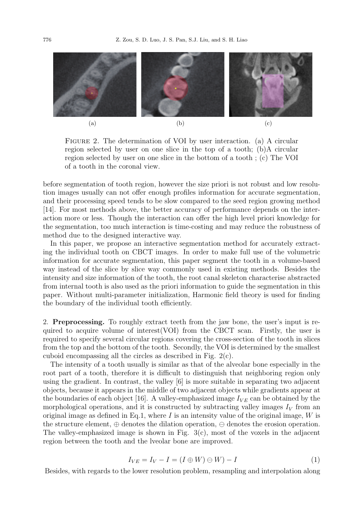

FIGURE 2. The determination of VOI by user interaction. (a) A circular region selected by user on one slice in the top of a tooth; (b)A circular region selected by user on one slice in the bottom of a tooth ; (c) The VOI of a tooth in the coronal view.

before segmentation of tooth region, however the size priori is not robust and low resolution images usually can not offer enough profiles information for accurate segmentation, and their processing speed tends to be slow compared to the seed region growing method [14]. For most methods above, the better accuracy of performance depends on the interaction more or less. Though the interaction can offer the high level priori knowledge for the segmentation, too much interaction is time-costing and may reduce the robustness of method due to the designed interactive way.

In this paper, we propose an interactive segmentation method for accurately extracting the individual tooth on CBCT images. In order to make full use of the volumetric information for accurate segmentation, this paper segment the tooth in a volume-based way instead of the slice by slice way commonly used in existing methods. Besides the intensity and size information of the tooth, the root canal skeleton characterise abstracted from internal tooth is also used as the priori information to guide the segmentation in this paper. Without multi-parameter initialization, Harmonic field theory is used for finding the boundary of the individual tooth efficiently.

2. Preprocessing. To roughly extract teeth from the jaw bone, the user's input is required to acquire volume of interest  $(VOI)$  from the CBCT scan. Firstly, the user is required to specify several circular regions covering the cross-section of the tooth in slices from the top and the bottom of the tooth. Secondly, the VOI is determined by the smallest cuboid encompassing all the circles as described in Fig. 2(c).

The intensity of a tooth usually is similar as that of the alveolar bone especially in the root part of a tooth, therefore it is difficult to distinguish that neighboring region only using the gradient. In contrast, the valley [6] is more suitable in separating two adjacent objects, because it appears in the middle of two adjacent objects while gradients appear at the boundaries of each object [16]. A valley-emphasized image  $I_{VF}$  can be obtained by the morphological operations, and it is constructed by subtracting valley images  $I_V$  from an original image as defined in Eq.1, where I is an intensity value of the original image,  $W$  is the structure element,  $\oplus$  denotes the dilation operation,  $\ominus$  denotes the erosion operation. The valley-emphasized image is shown in Fig. 3(c), most of the voxels in the adjacent region between the tooth and the lveolar bone are improved.

$$
I_{VE} = I_V - I = (I \oplus W) \oplus W) - I \tag{1}
$$

Besides, with regards to the lower resolution problem, resampling and interpolation along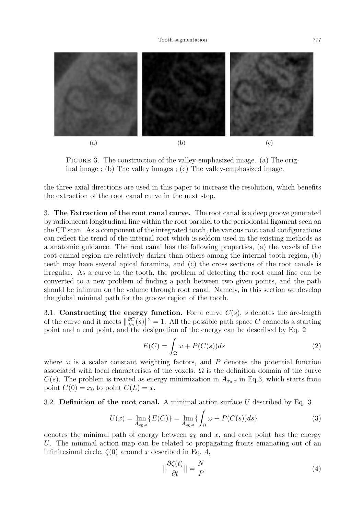

FIGURE 3. The construction of the valley-emphasized image. (a) The original image ; (b) The valley images ; (c) The valley-emphasized image.

the three axial directions are used in this paper to increase the resolution, which benefits the extraction of the root canal curve in the next step.

3. The Extraction of the root canal curve. The root canal is a deep groove generated by radiolucent longitudinal line within the root parallel to the periodontal ligament seen on the CT scan. As a component of the integrated tooth, the various root canal configurations can reflect the trend of the internal root which is seldom used in the existing methods as a anatomic guidance. The root canal has the following properties, (a) the voxels of the root cannal region are relatively darker than others among the internal tooth region, (b) teeth may have several apical foramina, and (c) the cross sections of the root canals is irregular. As a curve in the tooth, the problem of detecting the root canal line can be converted to a new problem of finding a path between two given points, and the path should be infimum on the volume through root canal. Namely, in this section we develop the global minimal path for the groove region of the tooth.

3.1. Constructing the energy function. For a curve  $C(s)$ , s denotes the arc-length of the curve and it meets  $\|\frac{\partial C}{\partial s}(s)\|^2 = 1$ . All the possible path space C connects a starting point and a end point, and the designation of the energy can be described by Eq. 2

$$
E(C) = \int_{\Omega} \omega + P(C(s))ds
$$
 (2)

where  $\omega$  is a scalar constant weighting factors, and P denotes the potential function associated with local characterises of the voxels.  $\Omega$  is the definition domain of the curve  $C(s)$ . The problem is treated as energy minimization in  $A_{x_0,x}$  in Eq.3, which starts from point  $C(0) = x_0$  to point  $C(L) = x$ .

## 3.2. Definition of the root canal. A minimal action surface U described by Eq. 3

$$
U(x) = \lim_{A_{x_0,x}} \{ E(C) \} = \lim_{A_{x_0,x}} \{ \int_{\Omega} \omega + P(C(s))ds \}
$$
 (3)

denotes the minimal path of energy between  $x_0$  and  $x$ , and each point has the energy U. The minimal action map can be related to propagating fronts emanating out of an infinitesimal circle,  $\zeta(0)$  around x described in Eq. 4,

$$
\|\frac{\partial \zeta(t)}{\partial t}\| = \frac{N}{P}
$$
\n(4)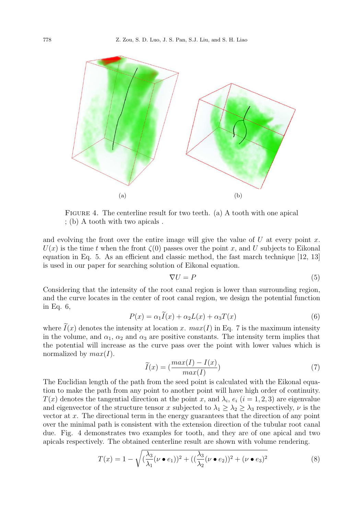

FIGURE 4. The centerline result for two teeth. (a) A tooth with one apical ; (b) A tooth with two apicals .

and evolving the front over the entire image will give the value of  $U$  at every point  $x$ .  $U(x)$  is the time t when the front  $\zeta(0)$  passes over the point x, and U subjects to Eikonal equation in Eq. 5. As an efficient and classic method, the fast march technique [12, 13] is used in our paper for searching solution of Eikonal equation.

$$
\nabla U = P \tag{5}
$$

Considering that the intensity of the root canal region is lower than surrounding region, and the curve locates in the center of root canal region, we design the potential function in Eq. 6,

$$
P(x) = \alpha_1 I(x) + \alpha_2 L(x) + \alpha_3 T(x) \tag{6}
$$

where  $I(x)$  denotes the intensity at location x.  $max(I)$  in Eq. 7 is the maximum intensity in the volume, and  $\alpha_1$ ,  $\alpha_2$  and  $\alpha_3$  are positive constants. The intensity term implies that the potential will increase as the curve pass over the point with lower values which is normalized by  $max(I)$ .

$$
\widetilde{I}(x) = \left(\frac{max(I) - I(x)}{max(I)}\right) \tag{7}
$$

The Euclidian length of the path from the seed point is calculated with the Eikonal equation to make the path from any point to another point will have high order of continuity.  $T(x)$  denotes the tangential direction at the point x, and  $\lambda_i$ ,  $e_i$   $(i = 1, 2, 3)$  are eigenvalue and eigenvector of the structure tensor x subjected to  $\lambda_1 \geq \lambda_2 \geq \lambda_3$  respectively,  $\nu$  is the vector at x. The directional term in the energy guarantees that the direction of any point over the minimal path is consistent with the extension direction of the tubular root canal due. Fig. 4 demonstrates two examples for tooth, and they are of one apical and two apicals respectively. The obtained centerline result are shown with volume rendering.

$$
T(x) = 1 - \sqrt{\left(\frac{\lambda_3}{\lambda_1}(\nu \bullet e_1)\right)^2 + \left(\left(\frac{\lambda_3}{\lambda_2}(\nu \bullet e_2)\right)^2 + (\nu \bullet e_3)^2}\right)}
$$
(8)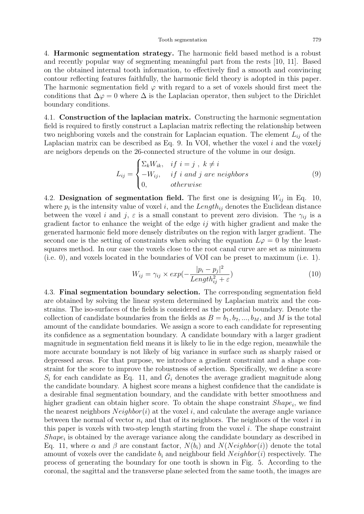4. Harmonic segmentation strategy. The harmonic field based method is a robust and recently popular way of segmenting meaningful part from the rests [10, 11]. Based on the obtained internal tooth information, to effectively find a smooth and convincing contour reflecting features faithfully, the harmonic field theory is adopted in this paper. The harmonic segmentation field  $\varphi$  with regard to a set of voxels should first meet the conditions that  $\Delta \varphi = 0$  where  $\Delta$  is the Laplacian operator, then subject to the Dirichlet boundary conditions.

4.1. Construction of the laplacian matrix. Constructing the harmonic segmentation field is required to firstly construct a Laplacian matrix reflecting the relationship between two neighboring voxels and the constrain for Laplacian equation. The element  $L_{ij}$  of the Laplacian matrix can be described as Eq. 9. In VOI, whether the voxel  $i$  and the voxel  $j$ are neigbors depends on the 26-connected structure of the volume in our design.

$$
L_{ij} = \begin{cases} \sum_{k} W_{ik}, & if \ i = j \ , \ k \neq i \\ -W_{ij}, & if \ i \ and \ j \ are \ neighbors \\ 0, & otherwise \end{cases}
$$
 (9)

4.2. Designation of segmentation field. The first one is designing  $W_{ij}$  in Eq. 10, where  $p_i$  is the intensity value of voxel i, and the Length<sub>ij</sub> denotes the Euclidean distance between the voxel i and j,  $\varepsilon$  is a small constant to prevent zero division. The  $\gamma_{ij}$  is a gradient factor to enhance the weight of the edge  $ij$  with higher gradient and make the generated harmonic field more densely distributes on the region with larger gradient. The second one is the setting of constraints when solving the equation  $L\varphi = 0$  by the leastsquares method. In our case the voxels close to the root canal curve are set as minimuem (i.e. 0), and voxels located in the boundaries of VOI can be preset to maximum (i.e. 1).

$$
W_{ij} = \gamma_{ij} \times exp(-\frac{|p_i - p_j|^2}{Length_{ij}^2 + \varepsilon})
$$
\n(10)

4.3. Final segmentation boundary selection. The corresponding segmentation field are obtained by solving the linear system determined by Laplacian matrix and the constrains. The iso-surfaces of the fields is considered as the potential boundary. Denote the collection of candidate boundaries from the fields as  $B = b_1, b_2, ..., b_M$ , and M is the total amount of the candidate boundaries. We assign a score to each candidate for representing its confidence as a segmentation boundary. A candidate boundary with a larger gradient magnitude in segmentation field means it is likely to lie in the edge region, meanwhile the more accurate boundary is not likely of big variance in surface such as sharply raised or depressed areas. For that purpose, we introduce a gradient constraint and a shape constraint for the score to improve the robustness of selection. Specifically, we define a score  $S_i$  for each candidate as Eq. 11, and  $\bar{G}_i$  denotes the average gradient magnitude along the candidate boundary. A highest score means a highest confidence that the candidate is a desirable final segmentation boundary, and the candidate with better smoothness and higher gradient can obtain higher score. To obtain the shape constraint  $Shape_i$ , we find the nearest neighbors  $Neighbour(i)$  at the voxel i, and calculate the average angle variance between the normal of vector  $n_i$  and that of its neighbors. The neighbors of the voxel i in this paper is voxels with two-step length starting from the voxel  $i$ . The shape constraint  $Shape<sub>i</sub>$  is obtained by the average variance along the candidate boundary as described in Eq. 11, where  $\alpha$  and  $\beta$  are constant factor,  $N(b_i)$  and  $N(Neighbor(i))$  denote the total amount of voxels over the candidate  $b_i$  and neighbour field  $Neighbour(i)$  respectively. The process of generating the boundary for one tooth is shown in Fig. 5. According to the coronal, the sagittal and the transverse plane selected from the same tooth, the images are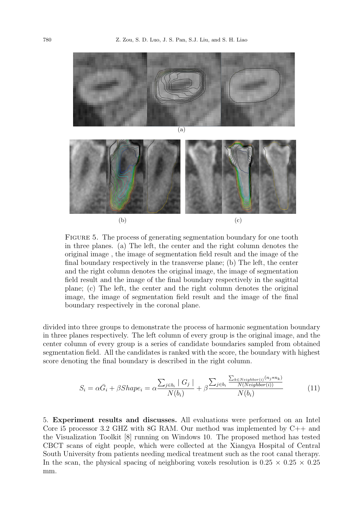

FIGURE 5. The process of generating segmentation boundary for one tooth in three planes. (a) The left, the center and the right column denotes the original image , the image of segmentation field result and the image of the final boundary respectively in the transverse plane; (b) The left, the center and the right column denotes the original image, the image of segmentation field result and the image of the final boundary respectively in the sagittal plane; (c) The left, the center and the right column denotes the original image, the image of segmentation field result and the image of the final boundary respectively in the coronal plane.

divided into three groups to demonstrate the process of harmonic segmentation boundary in three planes respectively. The left column of every group is the original image, and the center column of every group is a series of candidate boundaries sampled from obtained segmentation field. All the candidates is ranked with the score, the boundary with highest score denoting the final boundary is described in the right column.

$$
S_i = \alpha \bar{G}_i + \beta Shape_i = \alpha \frac{\sum_{j \in b_i} |G_j|}{N(b_i)} + \beta \frac{\sum_{j \in b_i} \frac{\sum_{k \in Neighbour(i)} (n_j * n_k)}{N(N \text{eighbour}(i))}}{N(b_i)}
$$
(11)

5. Experiment results and discusses. All evaluations were performed on an Intel Core i5 processor 3.2 GHZ with  $8G$  RAM. Our method was implemented by  $C_{++}$  and the Visualization Toolkit [8] running on Windows 10. The proposed method has tested CBCT scans of eight people, which were collected at the Xiangya Hospital of Central South University from patients needing medical treatment such as the root canal therapy. In the scan, the physical spacing of neighboring voxels resolution is  $0.25 \times 0.25 \times 0.25$ mm.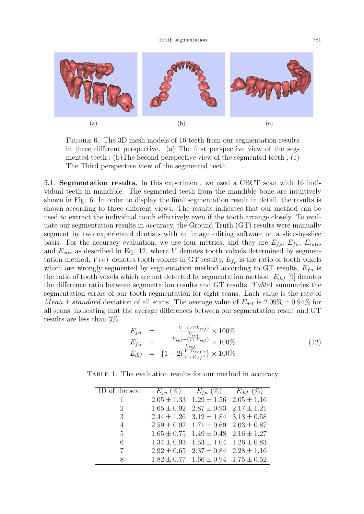

Figure 6. The 3D mesh models of 16 teeth from our segmentation results in three different perspective. (a) The first perspective view of the segmented teeth ; (b) The Second perspective view of the segmented teeth ; (c) The Third perspective view of the segmented teeth.

5.1. Segmentation results. In this experiment, we used a CBCT scan with 16 individual teeth in mandible. The segmented teeth from the mandible bone are intuitively shown in Fig. 6. In order to display the final segmentation result in detail, the results is shown according to three different views. The results indicates that our method can be used to extract the individual tooth effectively even if the tooth arrange closely. To evaluate our segmentation results in accuracy, the Ground Truth (GT) results were manually segment by two experienced dentists with an image editing software on a slice-by-slice basis. For the accuracy evaluation, we use four metrics, and they are  $E_{fp}$ ,  $E_{fn}$ ,  $E_{ratio}$ and  $E_{sim}$  as described in Eq. 12, where V denotes tooth volxels determined by segmentation method, V ref denotes tooth volxels in GT results,  $E_{fp}$  is the ratio of tooth voxels which are wrongly segmented by segmentation method according to GT results,  $E_{fn}$  is the ratio of tooth voxels which are not detected by segmentation method,  $E_{dif}$  [9] denotes the difference ratio between segmentation results and GT results. Table1 summaries the segmentation errors of our tooth segmentation for eight scans. Each value is the rate of Mean  $\pm$  standard deviation of all scans. The average value of  $E_{dif}$  is  $2.09\% \pm 0.94\%$  for all scans, indicating that the average differences between our segmentation result and GT results are less than 3%.

$$
E_{fp} = \frac{V - (V \cap V_{ref})}{V_{ref}} \times 100\%
$$
  
\n
$$
E_{fn} = \frac{V_{ref} - (V \cap V_{ref})}{V_{ref}} \times 100\%
$$
  
\n
$$
E_{dif} = \{1 - 2(\frac{V \cap V_{ref}}{V + V_{ref}})\} \times 100\%
$$
\n(12)

TABLE 1. The evaluation results for our method in accuracy

| ID of the scan | $E_{fp} (\%)$ $E_{fn} (\%)$ $E_{dif} (\%)$      |  |
|----------------|-------------------------------------------------|--|
| 1              | $2.05 \pm 1.33$ $1.29 \pm 1.56$ $2.05 \pm 1.16$ |  |
| $\overline{2}$ | $1.65 \pm 0.92$ $2.87 \pm 0.93$ $2.17 \pm 1.21$ |  |
| 3              | $2.44 \pm 1.26$ $3.12 \pm 1.84$ $3.13 \pm 0.58$ |  |
| $\overline{4}$ | $2.59 \pm 0.92$ $1.71 \pm 0.69$ $2.03 \pm 0.87$ |  |
| 5              | $1.65 \pm 0.75$ $1.49 \pm 0.48$ $2.16 \pm 1.27$ |  |
| 6              | $1.34 \pm 0.93$ $1.53 \pm 1.04$ $1.26 \pm 0.83$ |  |
| 7              | $2.92 \pm 0.65$ $2.37 \pm 0.84$ $2.28 \pm 1.16$ |  |
| 8              | $1.82 \pm 0.77$ $1.66 \pm 0.94$ $1.75 \pm 0.52$ |  |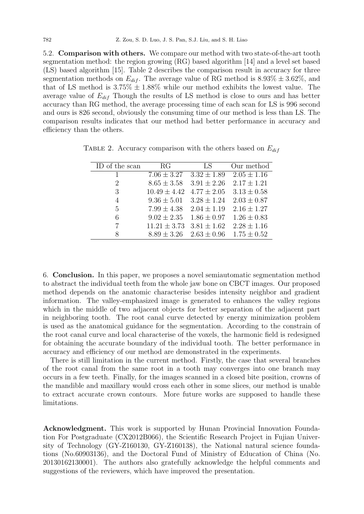5.2. Comparison with others. We compare our method with two state-of-the-art tooth segmentation method: the region growing (RG) based algorithm [14] and a level set based (LS) based algorithm [15]. Table 2 describes the comparison result in accuracy for three segmentation methods on  $E_{dif}$ . The average value of RG method is  $8.93\% \pm 3.62\%$ , and that of LS method is  $3.75\% \pm 1.88\%$  while our method exhibits the lowest value. The average value of  $E_{dif}$  Though the results of LS method is close to ours and has better accuracy than RG method, the average processing time of each scan for LS is 996 second and ours is 826 second, obviously the consuming time of our method is less than LS. The comparison results indicates that our method had better performance in accuracy and efficiency than the others.

| ID of the scan | RG               | LS.             | Our method      |
|----------------|------------------|-----------------|-----------------|
|                | $7.06 \pm 3.27$  | $3.32 \pm 1.89$ | $2.05 \pm 1.16$ |
| 2              | $8.65 \pm 3.58$  | $3.91 \pm 2.26$ | $2.17 \pm 1.21$ |
| 3              | $10.49 \pm 4.42$ | $4.77 \pm 2.05$ | $3.13 \pm 0.58$ |
| 4              | $9.36 \pm 5.01$  | $3.28 \pm 1.24$ | $2.03 \pm 0.87$ |
| 5              | $7.99 \pm 4.38$  | $2.04 \pm 1.19$ | $2.16 \pm 1.27$ |
| 6              | $9.02 \pm 2.35$  | $1.86 \pm 0.97$ | $1.26 \pm 0.83$ |
| 7              | $11.21 \pm 3.73$ | $3.81 \pm 1.62$ | $2.28 \pm 1.16$ |
| Ջ              | $8.89 \pm 3.26$  | $2.63 \pm 0.96$ | $1.75 \pm 0.52$ |

TABLE 2. Accuracy comparison with the others based on  $E_{dif}$ 

6. Conclusion. In this paper, we proposes a novel semiautomatic segmentation method to abstract the individual teeth from the whole jaw bone on CBCT images. Our proposed method depends on the anatomic characterise besides intensity neighbor and gradient information. The valley-emphasized image is generated to enhances the valley regions which in the middle of two adjacent objects for better separation of the adjacent part in neighboring tooth. The root canal curve detected by energy minimization problem is used as the anatomical guidance for the segmentation. According to the constrain of the root canal curve and local characterise of the voxels, the harmonic field is redesigned for obtaining the accurate boundary of the individual tooth. The better performance in accuracy and efficiency of our method are demonstrated in the experiments.

There is still limitation in the current method. Firstly, the case that several branches of the root canal from the same root in a tooth may converges into one branch may occurs in a few teeth. Finally, for the images scanned in a closed bite position, crowns of the mandible and maxillary would cross each other in some slices, our method is unable to extract accurate crown contours. More future works are supposed to handle these limitations.

Acknowledgment. This work is supported by Hunan Provincial Innovation Foundation For Postgraduate (CX2012B066), the Scientific Research Project in Fujian University of Technology (GY-Z160130, GY-Z160138), the National natural science foundations (No.60903136), and the Doctoral Fund of Ministry of Education of China (No. 20130162130001). The authors also gratefully acknowledge the helpful comments and suggestions of the reviewers, which have improved the presentation.